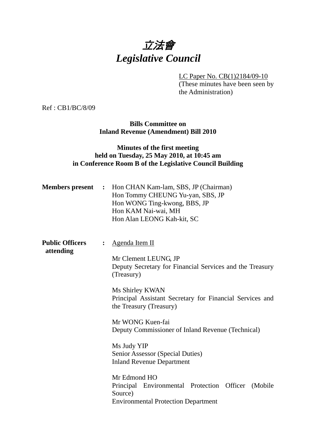# 立法會 *Legislative Council*

LC Paper No. CB(1)2184/09-10

(These minutes have been seen by the Administration)

Ref : CB1/BC/8/09

#### **Bills Committee on Inland Revenue (Amendment) Bill 2010**

#### **Minutes of the first meeting held on Tuesday, 25 May 2010, at 10:45 am in Conference Room B of the Legislative Council Building**

| <b>Members</b> present              |                | : Hon CHAN Kam-lam, SBS, JP (Chairman)<br>Hon Tommy CHEUNG Yu-yan, SBS, JP<br>Hon WONG Ting-kwong, BBS, JP<br>Hon KAM Nai-wai, MH<br>Hon Alan LEONG Kah-kit, SC |
|-------------------------------------|----------------|-----------------------------------------------------------------------------------------------------------------------------------------------------------------|
| <b>Public Officers</b><br>attending | $\ddot{\cdot}$ | <b>Agenda Item II</b>                                                                                                                                           |
|                                     |                | Mr Clement LEUNG, JP<br>Deputy Secretary for Financial Services and the Treasury<br>(Treasury)                                                                  |
|                                     |                | Ms Shirley KWAN<br>Principal Assistant Secretary for Financial Services and<br>the Treasury (Treasury)                                                          |
|                                     |                | Mr WONG Kuen-fai<br>Deputy Commissioner of Inland Revenue (Technical)                                                                                           |
|                                     |                | Ms Judy YIP<br>Senior Assessor (Special Duties)<br><b>Inland Revenue Department</b>                                                                             |
|                                     |                | Mr Edmond HO<br>Principal Environmental Protection Officer (Mobile<br>Source)<br><b>Environmental Protection Department</b>                                     |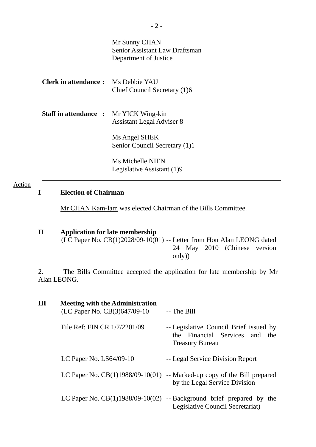|                                               | Mr Sunny CHAN<br><b>Senior Assistant Law Draftsman</b><br>Department of Justice |
|-----------------------------------------------|---------------------------------------------------------------------------------|
| <b>Clerk in attendance:</b> Ms Debbie YAU     | Chief Council Secretary (1)6                                                    |
| <b>Staff in attendance : Mr YICK Wing-kin</b> | <b>Assistant Legal Adviser 8</b>                                                |
|                                               | Ms Angel SHEK<br>Senior Council Secretary (1)1                                  |
|                                               | Ms Michelle NIEN<br>Legislative Assistant (1)9                                  |

#### Action

#### **I Election of Chairman**

Mr CHAN Kam-lam was elected Chairman of the Bills Committee.

# **II Application for late membership**

(LC Paper No. CB(1)2028/09-10(01) -- Letter from Hon Alan LEONG dated 24 May 2010 (Chinese version only))

2. The Bills Committee accepted the application for late membership by Mr Alan LEONG.

| Ш | <b>Meeting with the Administration</b><br>(LC Paper No. CB(3)647/09-10 | -- The Bill                                                                                        |
|---|------------------------------------------------------------------------|----------------------------------------------------------------------------------------------------|
|   | File Ref: FIN CR 1/7/2201/09                                           | -- Legislative Council Brief issued by<br>the Financial Services and the<br><b>Treasury Bureau</b> |
|   | LC Paper No. $LS64/09-10$                                              | -- Legal Service Division Report                                                                   |
|   | LC Paper No. $CB(1)1988/09-10(01)$                                     | -- Marked-up copy of the Bill prepared<br>by the Legal Service Division                            |
|   | LC Paper No. $CB(1)1988/09-10(02)$                                     | -- Background brief prepared by the<br>Legislative Council Secretariat)                            |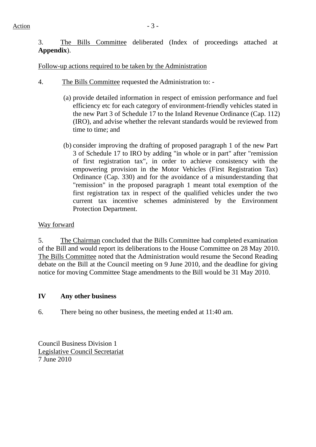Action  $-3$  -

3. The Bills Committee deliberated (Index of proceedings attached at **Appendix**).

Follow-up actions required to be taken by the Administration

- 4. The Bills Committee requested the Administration to:
	- (a) provide detailed information in respect of emission performance and fuel efficiency etc for each category of environment-friendly vehicles stated in the new Part 3 of Schedule 17 to the Inland Revenue Ordinance (Cap. 112) (IRO), and advise whether the relevant standards would be reviewed from time to time; and
	- (b) consider improving the drafting of proposed paragraph 1 of the new Part 3 of Schedule 17 to IRO by adding "in whole or in part" after "remission of first registration tax", in order to achieve consistency with the empowering provision in the Motor Vehicles (First Registration Tax) Ordinance (Cap. 330) and for the avoidance of a misunderstanding that "remission" in the proposed paragraph 1 meant total exemption of the first registration tax in respect of the qualified vehicles under the two current tax incentive schemes administered by the Environment Protection Department.

## Way forward

5. The Chairman concluded that the Bills Committee had completed examination of the Bill and would report its deliberations to the House Committee on 28 May 2010. The Bills Committee noted that the Administration would resume the Second Reading debate on the Bill at the Council meeting on 9 June 2010, and the deadline for giving notice for moving Committee Stage amendments to the Bill would be 31 May 2010.

## **IV Any other business**

6. There being no other business, the meeting ended at 11:40 am.

Council Business Division 1 Legislative Council Secretariat 7 June 2010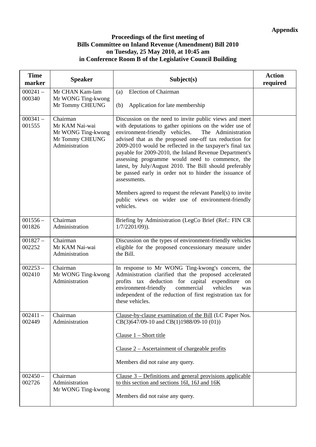#### **Proceedings of the first meeting of Bills Committee on Inland Revenue (Amendment) Bill 2010 on Tuesday, 25 May 2010, at 10:45 am in Conference Room B of the Legislative Council Building**

| <b>Time</b><br>marker | <b>Speaker</b>                                                                        | Subject(s)                                                                                                                                                                                                                                                                                                                                                                                                                                                                                                                                                                                                                                                                       | <b>Action</b><br>required |
|-----------------------|---------------------------------------------------------------------------------------|----------------------------------------------------------------------------------------------------------------------------------------------------------------------------------------------------------------------------------------------------------------------------------------------------------------------------------------------------------------------------------------------------------------------------------------------------------------------------------------------------------------------------------------------------------------------------------------------------------------------------------------------------------------------------------|---------------------------|
| $000241 -$<br>000340  | Mr CHAN Kam-lam<br>Mr WONG Ting-kwong                                                 | <b>Election of Chairman</b><br>(a)                                                                                                                                                                                                                                                                                                                                                                                                                                                                                                                                                                                                                                               |                           |
|                       | Mr Tommy CHEUNG                                                                       | Application for late membership<br>(b)                                                                                                                                                                                                                                                                                                                                                                                                                                                                                                                                                                                                                                           |                           |
| $000341 -$<br>001555  | Chairman<br>Mr KAM Nai-wai<br>Mr WONG Ting-kwong<br>Mr Tommy CHEUNG<br>Administration | Discussion on the need to invite public views and meet<br>with deputations to gather opinions on the wider use of<br>environment-friendly vehicles.<br>The Administration<br>advised that as the proposed one-off tax reduction for<br>2009-2010 would be reflected in the taxpayer's final tax<br>payable for 2009-2010, the Inland Revenue Department's<br>assessing programme would need to commence, the<br>latest, by July/August 2010. The Bill should preferably<br>be passed early in order not to hinder the issuance of<br>assessments.<br>Members agreed to request the relevant Panel(s) to invite<br>public views on wider use of environment-friendly<br>vehicles. |                           |
| $001556 -$<br>001826  | Chairman<br>Administration                                                            | Briefing by Administration (LegCo Brief (Ref.: FIN CR<br>$1/7/2201/09$ ).                                                                                                                                                                                                                                                                                                                                                                                                                                                                                                                                                                                                        |                           |
| $001827 -$<br>002252  | Chairman<br>Mr KAM Nai-wai<br>Administration                                          | Discussion on the types of environment-friendly vehicles<br>eligible for the proposed concessionary measure under<br>the Bill.                                                                                                                                                                                                                                                                                                                                                                                                                                                                                                                                                   |                           |
| $002253 -$<br>002410  | Chairman<br>Mr WONG Ting-kwong<br>Administration                                      | In response to Mr WONG Ting-kwong's concern, the<br>Administration clarified that the proposed accelerated<br>profits tax deduction for capital expenditure on<br>commercial<br>environment-friendly<br>vehicles<br>was<br>independent of the reduction of first registration tax for<br>these vehicles.                                                                                                                                                                                                                                                                                                                                                                         |                           |
| $002411 -$<br>002449  | Chairman<br>Administration                                                            | Clause-by-clause examination of the Bill (LC Paper Nos.<br>CB(3)647/09-10 and CB(1)1988/09-10 (01))<br>Clause $1 -$ Short title                                                                                                                                                                                                                                                                                                                                                                                                                                                                                                                                                  |                           |
|                       |                                                                                       | Clause $2 -$ Ascertainment of chargeable profits                                                                                                                                                                                                                                                                                                                                                                                                                                                                                                                                                                                                                                 |                           |
|                       |                                                                                       | Members did not raise any query.                                                                                                                                                                                                                                                                                                                                                                                                                                                                                                                                                                                                                                                 |                           |
| $002450 -$<br>002726  | Chairman<br>Administration                                                            | Clause $3$ – Definitions and general provisions applicable<br>to this section and sections 16I, 16J and 16K                                                                                                                                                                                                                                                                                                                                                                                                                                                                                                                                                                      |                           |
|                       | Mr WONG Ting-kwong                                                                    | Members did not raise any query.                                                                                                                                                                                                                                                                                                                                                                                                                                                                                                                                                                                                                                                 |                           |